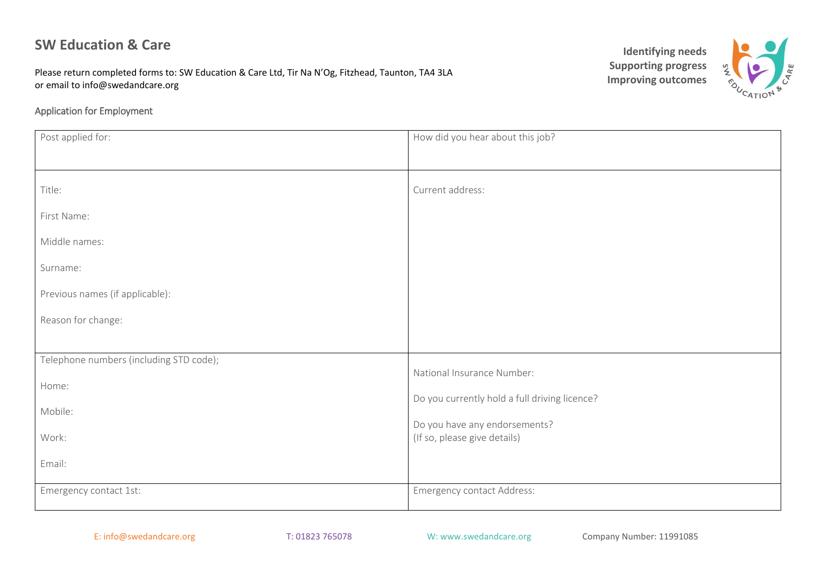Please return completed forms to: SW Education & Care Ltd, Tir Na N'Og, Fitzhead, Taunton, TA4 3LA or email to info@swedandcare.org

### Application for Employment

**Identifying needs Supporting progress Improving outcomes**



| Post applied for:                       | How did you hear about this job?                              |  |
|-----------------------------------------|---------------------------------------------------------------|--|
|                                         |                                                               |  |
| Title:                                  | Current address:                                              |  |
| First Name:                             |                                                               |  |
| Middle names:                           |                                                               |  |
| Surname:                                |                                                               |  |
| Previous names (if applicable):         |                                                               |  |
| Reason for change:                      |                                                               |  |
|                                         |                                                               |  |
| Telephone numbers (including STD code); | National Insurance Number:                                    |  |
| Home:                                   | Do you currently hold a full driving licence?                 |  |
| Mobile:                                 |                                                               |  |
| Work:                                   | Do you have any endorsements?<br>(If so, please give details) |  |
| Email:                                  |                                                               |  |
| Emergency contact 1st:                  | <b>Emergency contact Address:</b>                             |  |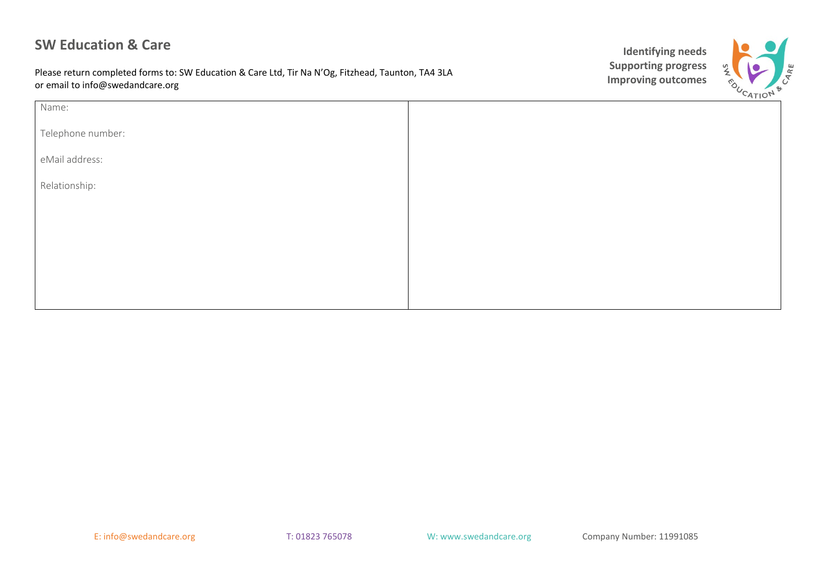Please return completed forms to: SW Education & Care Ltd, Tir Na N'Og, Fitzhead, Taunton, TA4 3LA or email to info@swedandcare.org



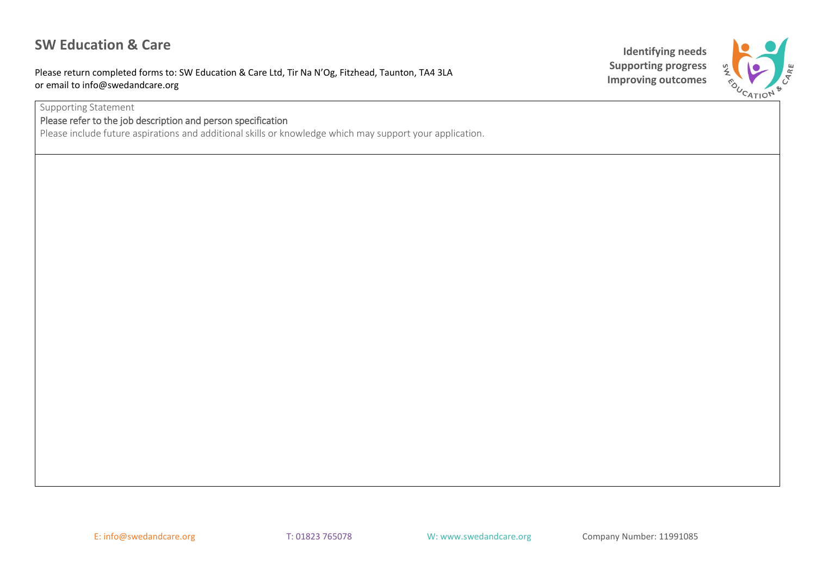Please return completed forms to: SW Education & Care Ltd, Tir Na N'Og, Fitzhead, Taunton, TA4 3LA or email to info@swedandcare.org

Supporting Statement

Please refer to the job description and person specification

Please include future aspirations and additional skills or knowledge which may support your application.



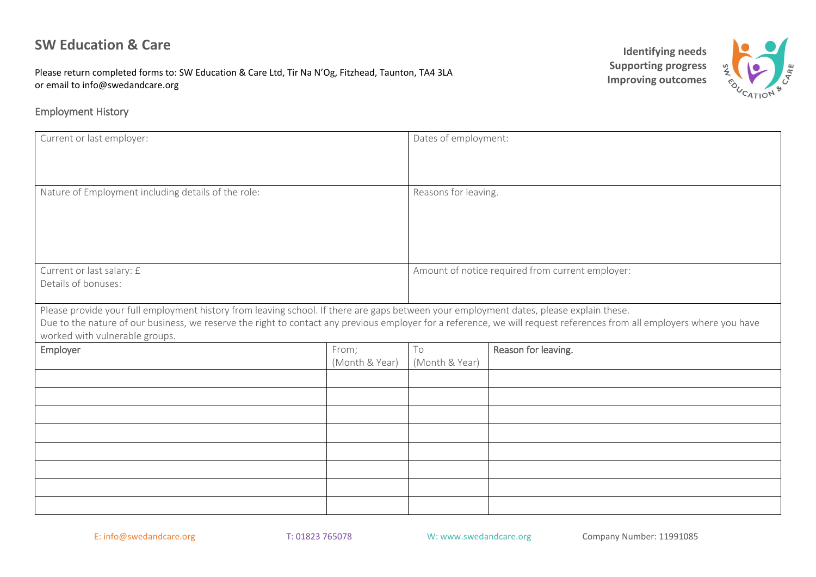Please return completed forms to: SW Education & Care Ltd, Tir Na N'Og, Fitzhead, Taunton, TA4 3LA or email to info@swedandcare.org

### Employment History

**Identifying needs Supporting progress Improving outcomes**



| Current or last employer:                                                                                                                                                                                                                                                                                                                           |                         | Dates of employment: |                                                  |  |
|-----------------------------------------------------------------------------------------------------------------------------------------------------------------------------------------------------------------------------------------------------------------------------------------------------------------------------------------------------|-------------------------|----------------------|--------------------------------------------------|--|
| Nature of Employment including details of the role:                                                                                                                                                                                                                                                                                                 |                         | Reasons for leaving. |                                                  |  |
| Current or last salary: £<br>Details of bonuses:                                                                                                                                                                                                                                                                                                    |                         |                      | Amount of notice required from current employer: |  |
| Please provide your full employment history from leaving school. If there are gaps between your employment dates, please explain these.<br>Due to the nature of our business, we reserve the right to contact any previous employer for a reference, we will request references from all employers where you have<br>worked with vulnerable groups. |                         |                      |                                                  |  |
| Employer                                                                                                                                                                                                                                                                                                                                            | From;<br>(Month & Year) | To<br>(Month & Year) | Reason for leaving.                              |  |
|                                                                                                                                                                                                                                                                                                                                                     |                         |                      |                                                  |  |
|                                                                                                                                                                                                                                                                                                                                                     |                         |                      |                                                  |  |
|                                                                                                                                                                                                                                                                                                                                                     |                         |                      |                                                  |  |
|                                                                                                                                                                                                                                                                                                                                                     |                         |                      |                                                  |  |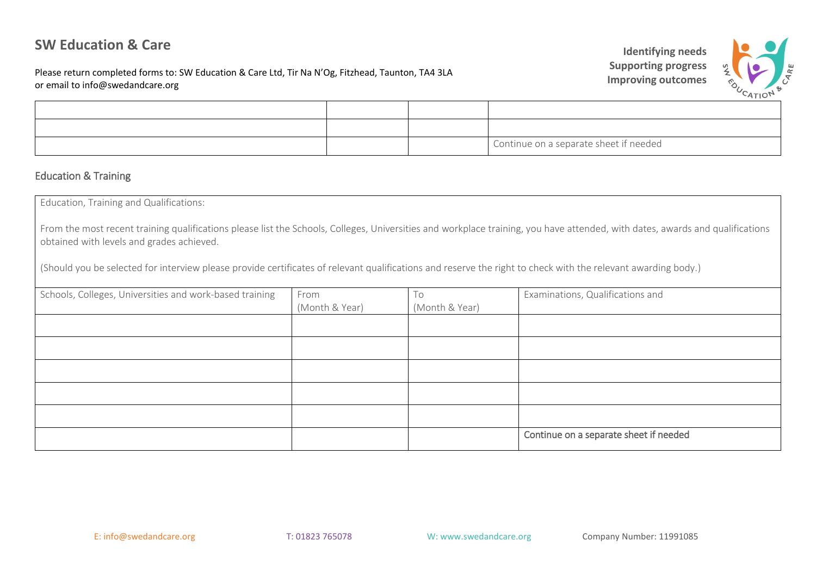Please return completed forms to: SW Education & Care Ltd, Tir Na N'Og, Fitzhead, Taunton, TA4 3LA or email to info@swedandcare.org





|  | Continue on a separate sheet if needed |
|--|----------------------------------------|

### Education & Training

| Education, Training and Qualifications:                                                                                                                                                                                                                                                                                                                                                     |                        |                      |                                        |
|---------------------------------------------------------------------------------------------------------------------------------------------------------------------------------------------------------------------------------------------------------------------------------------------------------------------------------------------------------------------------------------------|------------------------|----------------------|----------------------------------------|
| From the most recent training qualifications please list the Schools, Colleges, Universities and workplace training, you have attended, with dates, awards and qualifications<br>obtained with levels and grades achieved.<br>(Should you be selected for interview please provide certificates of relevant qualifications and reserve the right to check with the relevant awarding body.) |                        |                      |                                        |
| Schools, Colleges, Universities and work-based training                                                                                                                                                                                                                                                                                                                                     | From<br>(Month & Year) | To<br>(Month & Year) | Examinations, Qualifications and       |
|                                                                                                                                                                                                                                                                                                                                                                                             |                        |                      |                                        |
|                                                                                                                                                                                                                                                                                                                                                                                             |                        |                      |                                        |
|                                                                                                                                                                                                                                                                                                                                                                                             |                        |                      |                                        |
|                                                                                                                                                                                                                                                                                                                                                                                             |                        |                      |                                        |
|                                                                                                                                                                                                                                                                                                                                                                                             |                        |                      |                                        |
|                                                                                                                                                                                                                                                                                                                                                                                             |                        |                      | Continue on a separate sheet if needed |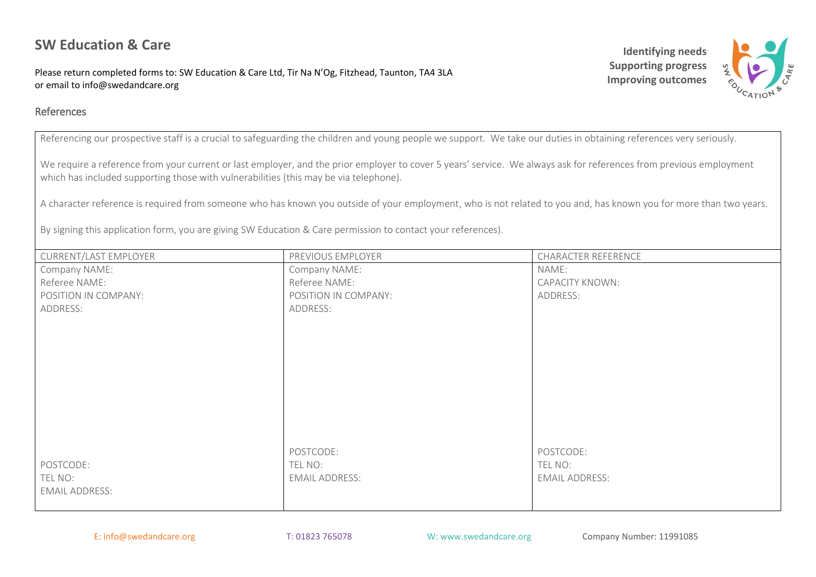Please return completed forms to: SW Education & Care Ltd, Tir Na N'Og, Fitzhead, Taunton, TA4 3LA or email to info@swedandcare.org

### References

Referencing our prospective staff is a crucial to safeguarding the children and young people we support. We take our duties in obtaining references very seriously.

We require a reference from your current or last employer, and the prior employer to cover 5 years' service. We always ask for references from previous employment which has included supporting those with vulnerabilities (this may be via telephone).

A character reference is required from someone who has known you outside of your employment, who is not related to you and, has known you for more than two years.

By signing this application form, you are giving SW Education & Care permission to contact your references).

| CURRENT/LAST EMPLOYER | PREVIOUS EMPLOYER     | CHARACTER REFERENCE   |
|-----------------------|-----------------------|-----------------------|
| Company NAME:         | Company NAME:         | NAME:                 |
| Referee NAME:         | Referee NAME:         | CAPACITY KNOWN:       |
| POSITION IN COMPANY:  | POSITION IN COMPANY:  | ADDRESS:              |
| ADDRESS:              | ADDRESS:              |                       |
|                       |                       |                       |
|                       |                       |                       |
|                       |                       |                       |
|                       |                       |                       |
|                       |                       |                       |
|                       |                       |                       |
|                       |                       |                       |
|                       |                       |                       |
|                       |                       |                       |
|                       |                       |                       |
|                       | POSTCODE:             | POSTCODE:             |
| POSTCODE:             | TEL NO:               | TEL NO:               |
| TEL NO:               | <b>EMAIL ADDRESS:</b> | <b>EMAIL ADDRESS:</b> |
| <b>EMAIL ADDRESS:</b> |                       |                       |
|                       |                       |                       |





**Identifying needs Supporting progress Improving outcomes**

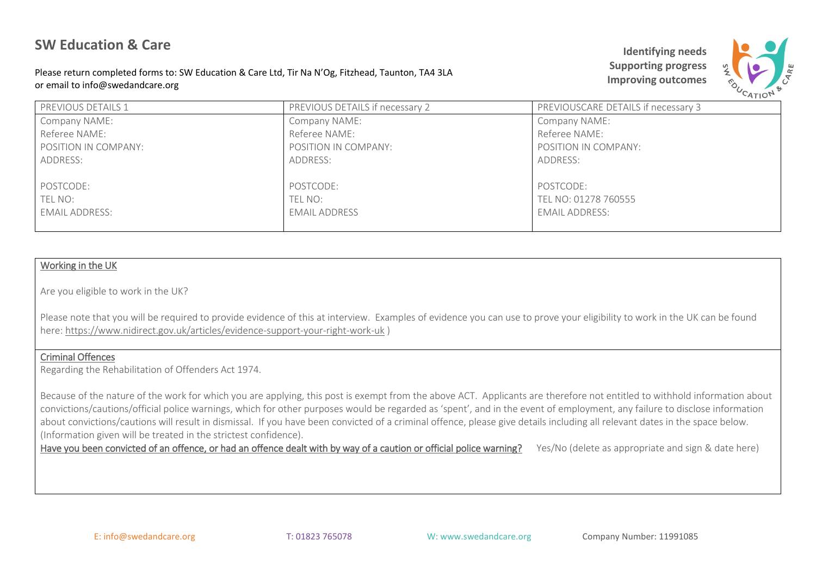Please return completed forms to: SW Education & Care Ltd, Tir Na N'Og, Fitzhead, Taunton, TA4 3LA or email to info@swedandcare.org



| PREVIOUS DETAILS 1    | PREVIOUS DETAILS if necessary 2 | PREVIOUSCARE DETAILS if necessary 3 |
|-----------------------|---------------------------------|-------------------------------------|
| Company NAME:         | Company NAME:                   | Company NAME:                       |
| Referee NAME:         | Referee NAME:                   | Referee NAME:                       |
| POSITION IN COMPANY:  | POSITION IN COMPANY:            | POSITION IN COMPANY:                |
| ADDRESS:              | ADDRESS:                        | ADDRESS:                            |
|                       |                                 |                                     |
| POSTCODE:             | POSTCODE:                       | POSTCODE:                           |
| TEL NO:               | TEL NO:                         | TEL NO: 01278 760555                |
| <b>EMAIL ADDRESS:</b> | <b>EMAIL ADDRESS</b>            | <b>EMAIL ADDRESS:</b>               |
|                       |                                 |                                     |

#### Working in the UK

Are you eligible to work in the UK?

Please note that you will be required to provide evidence of this at interview. Examples of evidence you can use to prove your eligibility to work in the UK can be found here:<https://www.nidirect.gov.uk/articles/evidence-support-your-right-work-uk> )

#### Criminal Offences

Regarding the Rehabilitation of Offenders Act 1974.

Because of the nature of the work for which you are applying, this post is exempt from the above ACT. Applicants are therefore not entitled to withhold information about convictions/cautions/official police warnings, which for other purposes would be regarded as 'spent', and in the event of employment, any failure to disclose information about convictions/cautions will result in dismissal. If you have been convicted of a criminal offence, please give details including all relevant dates in the space below. (Information given will be treated in the strictest confidence).

Have you been convicted of an offence, or had an offence dealt with by way of a caution or official police warning? Yes/No (delete as appropriate and sign & date here)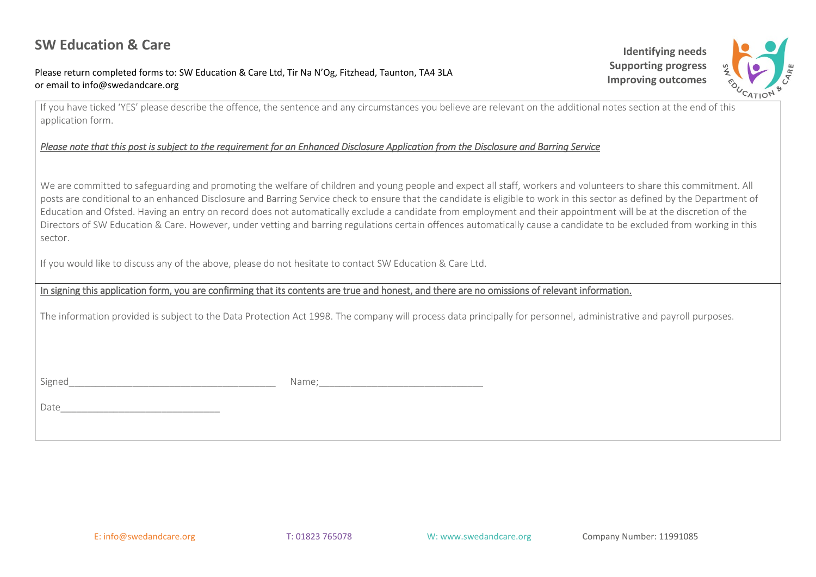#### Please return completed forms to: SW Education & Care Ltd, Tir Na N'Og, Fitzhead, Taunton, TA4 3LA or email to info@swedandcare.org

If you have ticked 'YES' please describe the offence, the sentence and any circumstances you believe are relevant on the additional notes section at the end of this application form.

#### *Please note that this post is subject to the requirement for an Enhanced Disclosure Application from the Disclosure and Barring Service*

We are committed to safeguarding and promoting the welfare of children and young people and expect all staff, workers and volunteers to share this commitment. All posts are conditional to an enhanced Disclosure and Barring Service check to ensure that the candidate is eligible to work in this sector as defined by the Department of Education and Ofsted. Having an entry on record does not automatically exclude a candidate from employment and their appointment will be at the discretion of the Directors of SW Education & Care. However, under vetting and barring regulations certain offences automatically cause a candidate to be excluded from working in this sector.

If you would like to discuss any of the above, please do not hesitate to contact SW Education & Care Ltd.

### In signing this application form, you are confirming that its contents are true and honest, and there are no omissions of relevant information.

The information provided is subject to the Data Protection Act 1998. The company will process data principally for personnel, administrative and payroll purposes.

Signed\_\_\_\_\_\_\_\_\_\_\_\_\_\_\_\_\_\_\_\_\_\_\_\_\_\_\_\_\_\_\_\_\_\_\_\_\_\_\_ Name;\_\_\_\_\_\_\_\_\_\_\_\_\_\_\_\_\_\_\_\_\_\_\_\_\_\_\_\_\_\_\_

**Identifying needs Supporting progress Improving outcomes**



Date\_\_\_\_\_\_\_\_\_\_\_\_\_\_\_\_\_\_\_\_\_\_\_\_\_\_\_\_\_\_